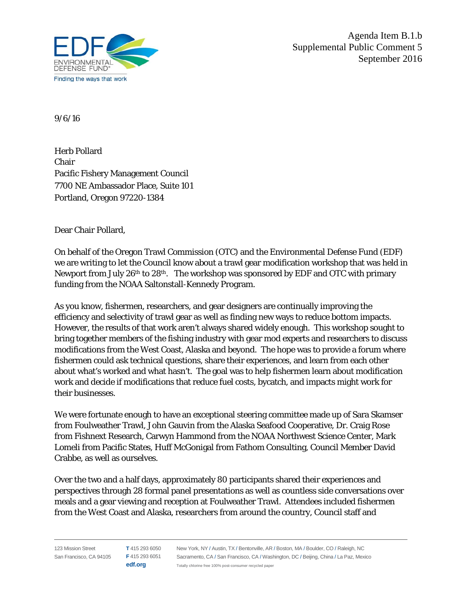

Agenda Item B.1.b Supplemental Public Comment 5 September 2016

9/6/16

Herb Pollard Chair Pacific Fishery Management Council 7700 NE Ambassador Place, Suite 101 Portland, Oregon 97220-1384

Dear Chair Pollard,

On behalf of the Oregon Trawl Commission (OTC) and the Environmental Defense Fund (EDF) we are writing to let the Council know about a trawl gear modification workshop that was held in Newport from July 26th to 28th. The workshop was sponsored by EDF and OTC with primary funding from the NOAA Saltonstall-Kennedy Program.

As you know, fishermen, researchers, and gear designers are continually improving the efficiency and selectivity of trawl gear as well as finding new ways to reduce bottom impacts. However, the results of that work aren't always shared widely enough. This workshop sought to bring together members of the fishing industry with gear mod experts and researchers to discuss modifications from the West Coast, Alaska and beyond. The hope was to provide a forum where fishermen could ask technical questions, share their experiences, and learn from each other about what's worked and what hasn't. The goal was to help fishermen learn about modification work and decide if modifications that reduce fuel costs, bycatch, and impacts might work for their businesses.

We were fortunate enough to have an exceptional steering committee made up of Sara Skamser from Foulweather Trawl, John Gauvin from the Alaska Seafood Cooperative, Dr. Craig Rose from Fishnext Research, Carwyn Hammond from the NOAA Northwest Science Center, Mark Lomeli from Pacific States, Huff McGonigal from Fathom Consulting, Council Member David Crabbe, as well as ourselves.

Over the two and a half days, approximately 80 participants shared their experiences and perspectives through 28 formal panel presentations as well as countless side conversations over meals and a gear viewing and reception at Foulweather Trawl. Attendees included fishermen from the West Coast and Alaska, researchers from around the country, Council staff and

123 Mission Street San Francisco, CA 94105 **F** 415 293 6051 **T** 415 293 6050 **edf.org** New York, NY / Austin, TX / Bentonville, AR / Boston, MA / Boulder, CO / Raleigh, NC Sacramento, CA / San Francisco, CA / Washington, DC / Beijing, China / La Paz, Mexico Totally chlorine free 100% post-consumer recycled paper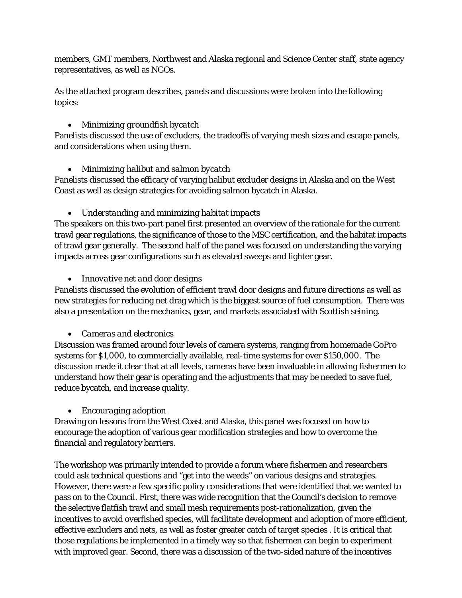members, GMT members, Northwest and Alaska regional and Science Center staff, state agency representatives, as well as NGOs.

As the attached program describes, panels and discussions were broken into the following topics:

#### • *Minimizing groundfish bycatch*

Panelists discussed the use of excluders, the tradeoffs of varying mesh sizes and escape panels, and considerations when using them.

## • *Minimizing halibut and salmon bycatch*

Panelists discussed the efficacy of varying halibut excluder designs in Alaska and on the West Coast as well as design strategies for avoiding salmon bycatch in Alaska.

## • *Understanding and minimizing habitat impacts*

The speakers on this two-part panel first presented an overview of the rationale for the current trawl gear regulations, the significance of those to the MSC certification, and the habitat impacts of trawl gear generally. The second half of the panel was focused on understanding the varying impacts across gear configurations such as elevated sweeps and lighter gear.

## • *Innovative net and door designs*

Panelists discussed the evolution of efficient trawl door designs and future directions as well as new strategies for reducing net drag which is the biggest source of fuel consumption. There was also a presentation on the mechanics, gear, and markets associated with Scottish seining.

# • *Cameras and electronics*

Discussion was framed around four levels of camera systems, ranging from homemade GoPro systems for \$1,000, to commercially available, real-time systems for over \$150,000. The discussion made it clear that at all levels, cameras have been invaluable in allowing fishermen to understand how their gear is operating and the adjustments that may be needed to save fuel, reduce bycatch, and increase quality.

#### • *Encouraging adoption*

Drawing on lessons from the West Coast and Alaska, this panel was focused on how to encourage the adoption of various gear modification strategies and how to overcome the financial and regulatory barriers.

The workshop was primarily intended to provide a forum where fishermen and researchers could ask technical questions and "get into the weeds" on various designs and strategies. However, there were a few specific policy considerations that were identified that we wanted to pass on to the Council. First, there was wide recognition that the Council's decision to remove the selective flatfish trawl and small mesh requirements post-rationalization, given the incentives to avoid overfished species, will facilitate development and adoption of more efficient, effective excluders and nets, as well as foster greater catch of target species . It is critical that those regulations be implemented in a timely way so that fishermen can begin to experiment with improved gear. Second, there was a discussion of the two-sided nature of the incentives